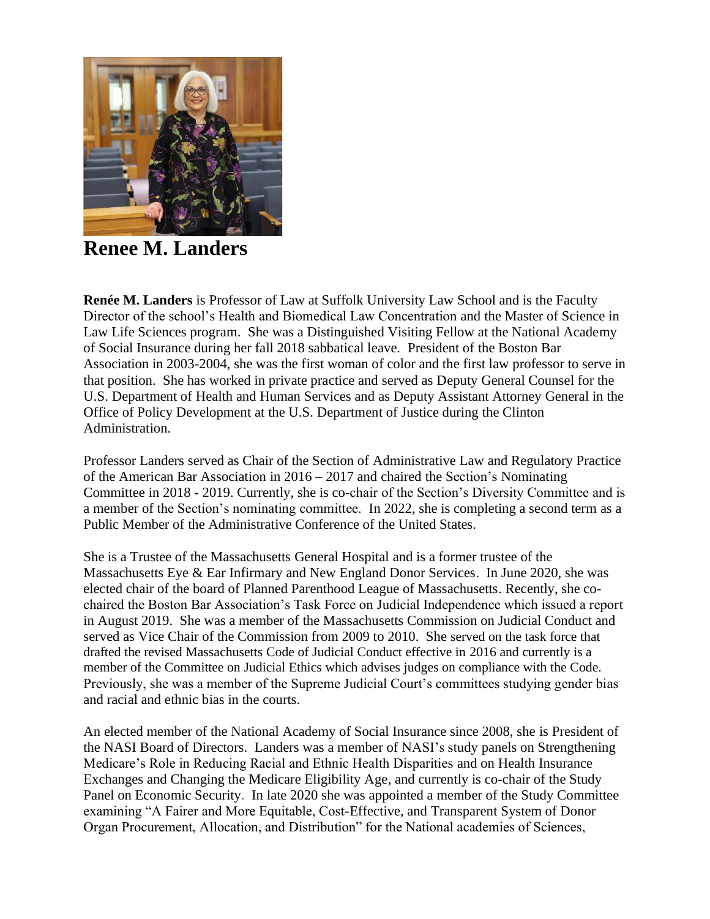

**Renee M. Landers**

**Renée M. Landers** is Professor of Law at Suffolk University Law School and is the Faculty Director of the school's Health and Biomedical Law Concentration and the Master of Science in Law Life Sciences program. She was a Distinguished Visiting Fellow at the National Academy of Social Insurance during her fall 2018 sabbatical leave. President of the Boston Bar Association in 2003-2004, she was the first woman of color and the first law professor to serve in that position. She has worked in private practice and served as Deputy General Counsel for the U.S. Department of Health and Human Services and as Deputy Assistant Attorney General in the Office of Policy Development at the U.S. Department of Justice during the Clinton Administration.

Professor Landers served as Chair of the Section of Administrative Law and Regulatory Practice of the American Bar Association in 2016 – 2017 and chaired the Section's Nominating Committee in 2018 - 2019. Currently, she is co-chair of the Section's Diversity Committee and is a member of the Section's nominating committee. In 2022, she is completing a second term as a Public Member of the Administrative Conference of the United States.

She is a Trustee of the Massachusetts General Hospital and is a former trustee of the Massachusetts Eye & Ear Infirmary and New England Donor Services. In June 2020, she was elected chair of the board of Planned Parenthood League of Massachusetts. Recently, she cochaired the Boston Bar Association's Task Force on Judicial Independence which issued a report in August 2019. She was a member of the Massachusetts Commission on Judicial Conduct and served as Vice Chair of the Commission from 2009 to 2010. She served on the task force that drafted the revised Massachusetts Code of Judicial Conduct effective in 2016 and currently is a member of the Committee on Judicial Ethics which advises judges on compliance with the Code. Previously, she was a member of the Supreme Judicial Court's committees studying gender bias and racial and ethnic bias in the courts.

An elected member of the National Academy of Social Insurance since 2008, she is President of the NASI Board of Directors. Landers was a member of [NASI's study panels on Strengthening](https://umail.suffolk.edu/owa/redir.aspx?SURL=5yIFuoCMIR1AD2BYRhOBBLCHg3mcH9Om49dWp6EJIIMyM1rKzanTCGgAdAB0AHAAcwA6AC8ALwB3AHcAdwAuAG4AYQBzAGkALgBvAHIAZwAvAGEAYgBvAHUAdAAvAD0A&URL=https%3a%2f%2fwww.nasi.org%2fabout%2f%3d)  [Medicare's Role in Reducing Racial and Ethnic Health Disparities](https://umail.suffolk.edu/owa/redir.aspx?SURL=5yIFuoCMIR1AD2BYRhOBBLCHg3mcH9Om49dWp6EJIIMyM1rKzanTCGgAdAB0AHAAcwA6AC8ALwB3AHcAdwAuAG4AYQBzAGkALgBvAHIAZwAvAGEAYgBvAHUAdAAvAD0A&URL=https%3a%2f%2fwww.nasi.org%2fabout%2f%3d) and on Health Insurance Exchanges and Changing the Medicare Eligibility Age, and currently is co-chair of the Study Panel on Economic Security. In late 2020 she was appointed a member of the Study Committee examining "A Fairer and More Equitable, Cost-Effective, and Transparent System of Donor Organ Procurement, Allocation, and Distribution" for the National academies of Sciences,